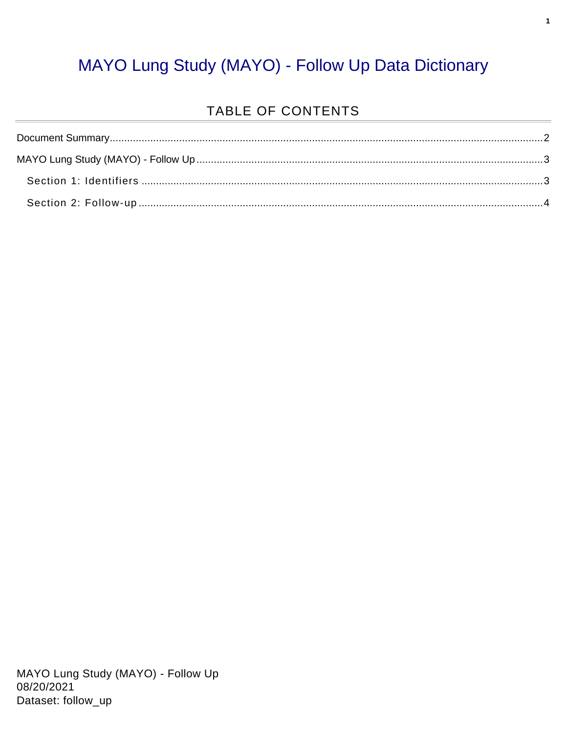#### MAYO Lung Study (MAYO) - Follow Up Data Dictionary

#### TABLE OF CONTENTS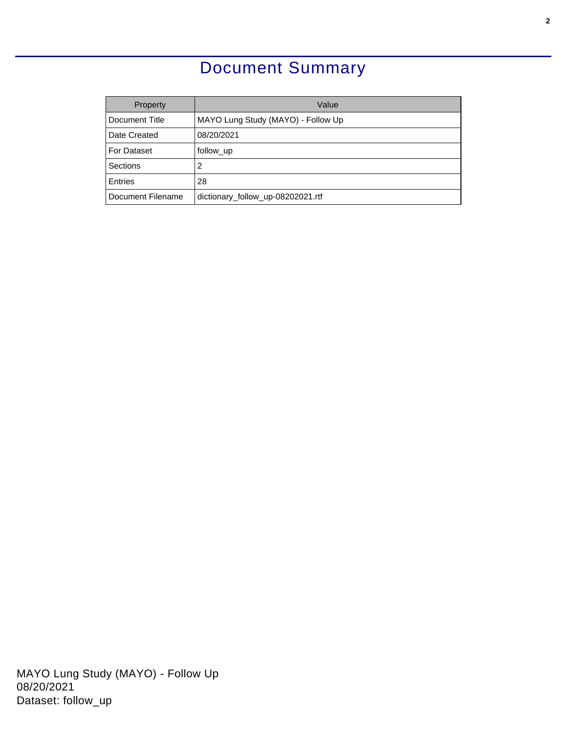### Document Summary

<span id="page-1-0"></span>

| Property          | Value                              |
|-------------------|------------------------------------|
| Document Title    | MAYO Lung Study (MAYO) - Follow Up |
| Date Created      | 08/20/2021                         |
| For Dataset       | follow_up                          |
| Sections          | 2                                  |
| Entries           | 28                                 |
| Document Filename | dictionary_follow_up-08202021.rtf  |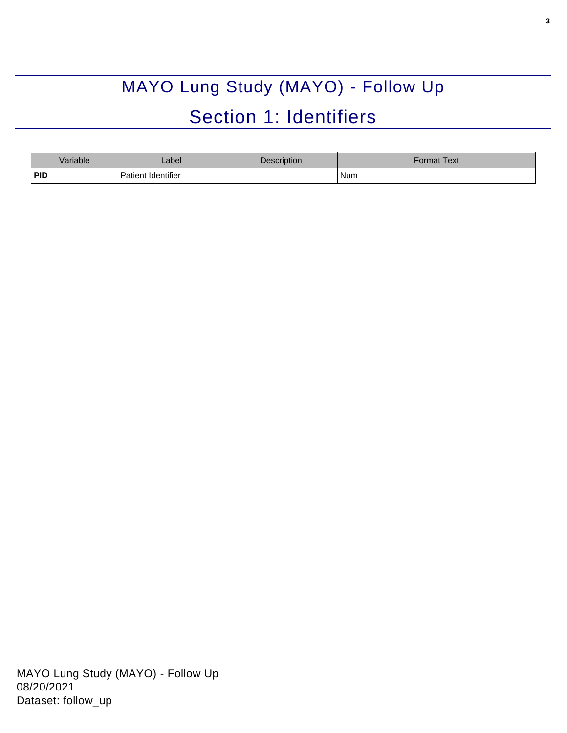# MAYO Lung Study (MAYO) - Follow Up Section 1: Identifiers

<span id="page-2-1"></span><span id="page-2-0"></span>

| Variable   | _abel              | Description | Format Text |
|------------|--------------------|-------------|-------------|
| <b>PID</b> | Patient Identifier |             | Num         |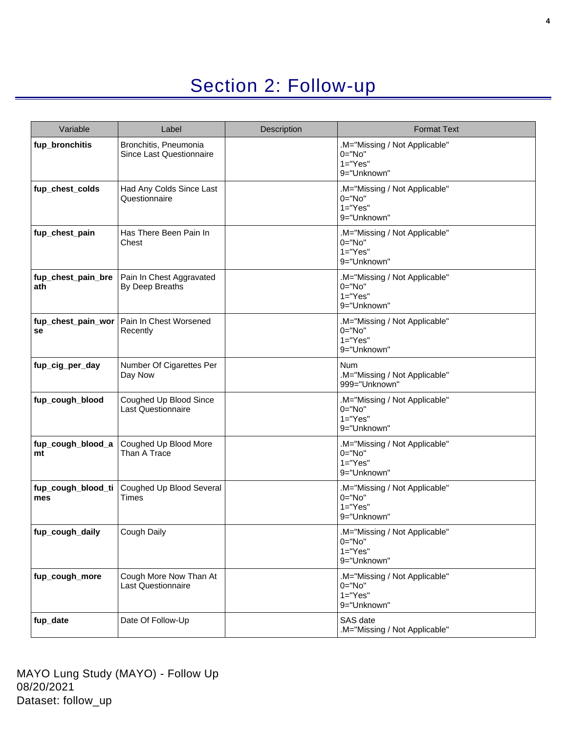## Section 2: Follow-up

<span id="page-3-0"></span>

| Variable                  | Label                                               | Description | <b>Format Text</b>                                                        |
|---------------------------|-----------------------------------------------------|-------------|---------------------------------------------------------------------------|
| fup_bronchitis            | Bronchitis, Pneumonia<br>Since Last Questionnaire   |             | .M="Missing / Not Applicable"<br>$0 = "No"$<br>$1="Yes"$<br>9="Unknown"   |
| fup_chest_colds           | Had Any Colds Since Last<br>Questionnaire           |             | .M="Missing / Not Applicable"<br>$0 = "No"$<br>$1 = "Yes"$<br>9="Unknown" |
| fup_chest_pain            | Has There Been Pain In<br>Chest                     |             | .M="Missing / Not Applicable"<br>$0 = "No"$<br>$1="Yes"$<br>9="Unknown"   |
| fup_chest_pain_bre<br>ath | Pain In Chest Aggravated<br>By Deep Breaths         |             | .M="Missing / Not Applicable"<br>$0 = "No"$<br>$1 = "Yes"$<br>9="Unknown" |
| fup_chest_pain_wor<br>se  | Pain In Chest Worsened<br>Recently                  |             | .M="Missing / Not Applicable"<br>$0 = "No"$<br>$1 = "Yes"$<br>9="Unknown" |
| fup_cig_per_day           | Number Of Cigarettes Per<br>Day Now                 |             | <b>Num</b><br>.M="Missing / Not Applicable"<br>999="Unknown"              |
| fup_cough_blood           | Coughed Up Blood Since<br><b>Last Questionnaire</b> |             | .M="Missing / Not Applicable"<br>$0 = "No"$<br>$1 = "Yes"$<br>9="Unknown" |
| fup_cough_blood_a<br>mt   | Coughed Up Blood More<br>Than A Trace               |             | .M="Missing / Not Applicable"<br>$0 = "No"$<br>$1="Yes"$<br>9="Unknown"   |
| fup_cough_blood_ti<br>mes | Coughed Up Blood Several<br><b>Times</b>            |             | .M="Missing / Not Applicable"<br>$0 = "No"$<br>$1="Yes"$<br>9="Unknown"   |
| fup_cough_daily           | Cough Daily                                         |             | .M="Missing / Not Applicable"<br>0="No"<br>$1 = "Yes"$<br>9="Unknown"     |
| fup_cough_more            | Cough More Now Than At<br>Last Questionnaire        |             | .M="Missing / Not Applicable"<br>0="No"<br>$1 = "Yes"$<br>9="Unknown"     |
| fup_date                  | Date Of Follow-Up                                   |             | SAS date<br>.M="Missing / Not Applicable"                                 |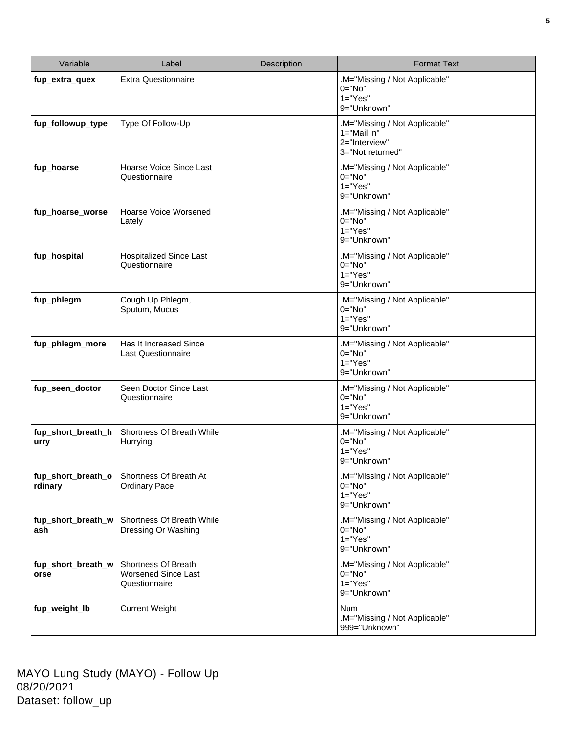| Variable                      | Label                                                       | Description | <b>Format Text</b>                                                                    |
|-------------------------------|-------------------------------------------------------------|-------------|---------------------------------------------------------------------------------------|
| fup_extra_quex                | <b>Extra Questionnaire</b>                                  |             | .M="Missing / Not Applicable"<br>$0 = "No"$<br>$1="Yes"$<br>9="Unknown"               |
| fup_followup_type             | Type Of Follow-Up                                           |             | .M="Missing / Not Applicable"<br>$1 = "Mail in"$<br>2="Interview"<br>3="Not returned" |
| fup_hoarse                    | Hoarse Voice Since Last<br>Questionnaire                    |             | .M="Missing / Not Applicable"<br>$0 = "No"$<br>$1="Yes"$<br>9="Unknown"               |
| fup_hoarse_worse              | Hoarse Voice Worsened<br>Lately                             |             | .M="Missing / Not Applicable"<br>$0 = "No"$<br>$1="Yes"$<br>9="Unknown"               |
| fup_hospital                  | <b>Hospitalized Since Last</b><br>Questionnaire             |             | .M="Missing / Not Applicable"<br>$0 = "No"$<br>$1="Yes"$<br>9="Unknown"               |
| fup_phlegm                    | Cough Up Phlegm,<br>Sputum, Mucus                           |             | .M="Missing / Not Applicable"<br>$0 = "No"$<br>$1="Yes"$<br>9="Unknown"               |
| fup_phlegm_more               | Has It Increased Since<br><b>Last Questionnaire</b>         |             | .M="Missing / Not Applicable"<br>$0 = "No"$<br>$1 = "Yes"$<br>9="Unknown"             |
| fup_seen_doctor               | Seen Doctor Since Last<br>Questionnaire                     |             | .M="Missing / Not Applicable"<br>$0 = "No"$<br>$1 = "Yes"$<br>9="Unknown"             |
| fup_short_breath_h<br>urry    | Shortness Of Breath While<br>Hurrying                       |             | .M="Missing / Not Applicable"<br>$0 = "No"$<br>$1 = "Yes"$<br>9="Unknown"             |
| fup_short_breath_o<br>rdinary | Shortness Of Breath At<br><b>Ordinary Pace</b>              |             | .M="Missing / Not Applicable"<br>$0 = "No"$<br>$1 = "Yes"$<br>9="Unknown"             |
| fup_short_breath_w<br>ash     | Shortness Of Breath While<br>Dressing Or Washing            |             | .M="Missing / Not Applicable"<br>$0="No"$<br>$1="Yes"$<br>9="Unknown"                 |
| fup_short_breath_w<br>orse    | Shortness Of Breath<br>Worsened Since Last<br>Questionnaire |             | .M="Missing / Not Applicable"<br>$0 = "No"$<br>$1="Yes"$<br>9="Unknown"               |
| fup_weight_lb                 | <b>Current Weight</b>                                       |             | Num<br>.M="Missing / Not Applicable"<br>999="Unknown"                                 |